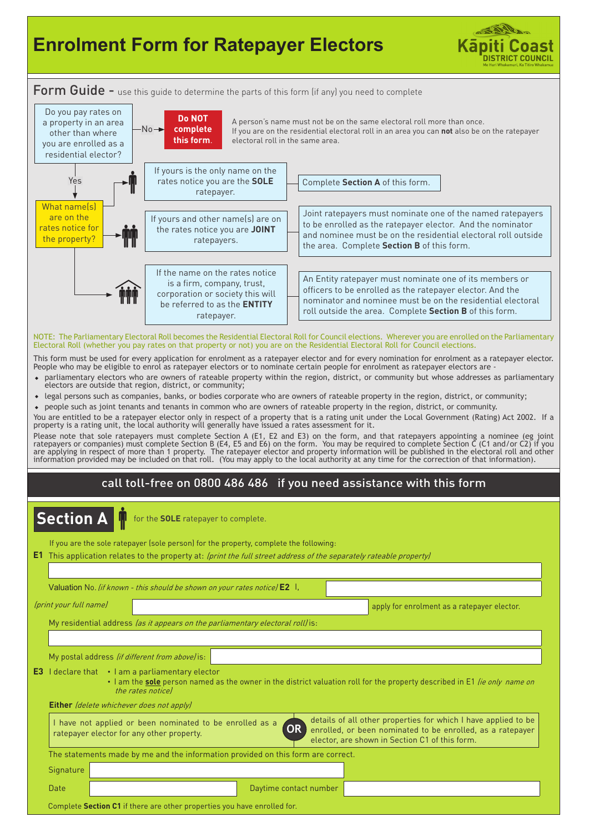## **Enrolment Form for Ratepayer Electors**





Complete **Section C1** if there are other properties you have enrolled for.